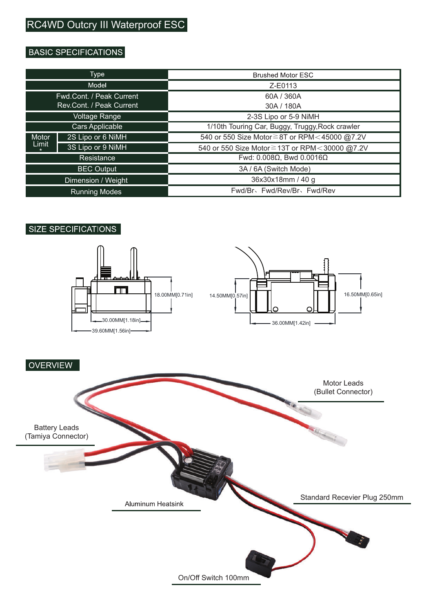# **BASIC SPECIFICATIONS**

| Type                     |                   | <b>Brushed Motor ESC</b>                        |
|--------------------------|-------------------|-------------------------------------------------|
| Model                    |                   | Z-F0113                                         |
| Fwd.Cont. / Peak Current |                   | 60A / 360A                                      |
| Rev.Cont. / Peak Current |                   | 30A / 180A                                      |
| Voltage Range            |                   | 2-3S Lipo or 5-9 NiMH                           |
| Cars Applicable          |                   | 1/10th Touring Car, Buggy, Truggy, Rock crawler |
| Motor<br>Limit           | 2S Lipo or 6 NiMH | 540 or 550 Size Motor≧8T or RPM<45000 @7.2V     |
|                          | 3S Lipo or 9 NiMH | 540 or 550 Size Motor ≧ 13T or RPM<30000 @7.2V  |
| Resistance               |                   | Fwd: $0.008\Omega$ . Bwd $0.0016\Omega$         |
| <b>BEC Output</b>        |                   | 3A / 6A (Switch Mode)                           |
| Dimension / Weight       |                   | 36x30x18mm / 40 g                               |
| <b>Running Modes</b>     |                   | Fwd/Br、Fwd/Rev/Br、Fwd/Rev                       |

# **SIZE SPECIFICATIONS**